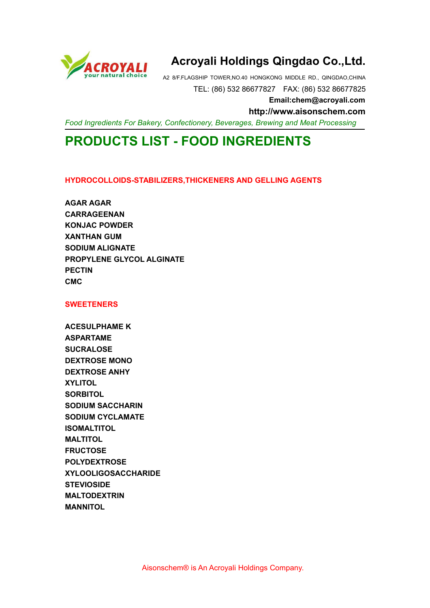

# **Acroyali Holdings Qingdao Co.,Ltd.**

A2 8/F.FLAGSHIP TOWER,NO.40 HONGKONG MIDDLE RD., QINGDAO,CHINA TEL: (86) 532 86677827 FAX: (86) 532 86677825

**Email:chem@acroyali.com**

**http://www.aisonschem.com**

*Food Ingredients For Bakery, Confectionery, Beverages, Brewing and Meat Processing*

# **PRODUCTS LIST - FOOD INGREDIENTS**

## **HYDROCOLLOIDS-STABILIZERS,THICKENERS AND GELLING AGENTS**

**AGAR AGAR CARRAGEENAN KONJAC POWDER XANTHAN GUM SODIUM ALIGNATE PROPYLENE GLYCOL ALGINATE PECTIN CMC**

#### **SWEETENERS**

**ACESULPHAME K ASPARTAME SUCRALOSE DEXTROSE MONO DEXTROSE ANHY XYLITOL SORBITOL SODIUM SACCHARIN SODIUM CYCLAMATE ISOMALTITOL MALTITOL FRUCTOSE POLYDEXTROSE XYLOOLIGOSACCHARIDE STEVIOSIDE MALTODEXTRIN MANNITOL**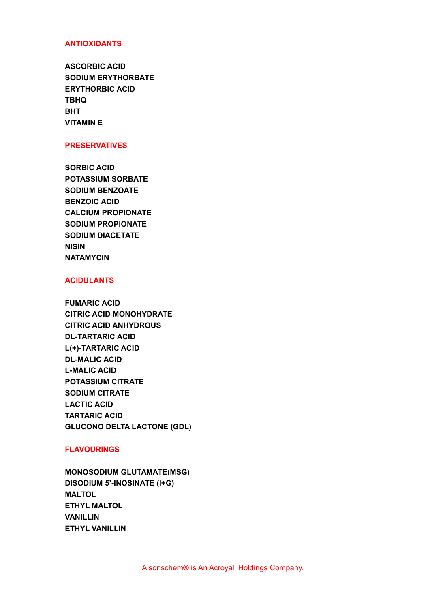# **ANTIOXIDANTS**

**ASCORBIC ACID SODIUM ERYTHORBATE ERYTHORBIC ACID TBHQ BHT VITAMIN E**

## **PRESERVATIVES**

**SORBIC ACID POTASSIUM SORBATE SODIUM BENZOATE BENZOIC ACID CALCIUM PROPIONATE SODIUM PROPIONATE SODIUM DIACETATE NISIN NATAMYCIN**

# **ACIDULANTS**

**FUMARIC ACID CITRIC ACID MONOHYDRATE CITRIC ACID ANHYDROUS DL-TARTARIC ACID L(+)-TARTARIC ACID DL-MALIC ACID L-MALIC ACID POTASSIUM CITRATE SODIUM CITRATE LACTIC ACID TARTARIC ACID GLUCONO DELTA LACTONE (GDL)**

# **FLAVOURINGS**

**MONOSODIUM GLUTAMATE(MSG) DISODIUM 5'-INOSINATE (I+G) MALTOL ETHYL MALTOL VANILLIN ETHYL VANILLIN**